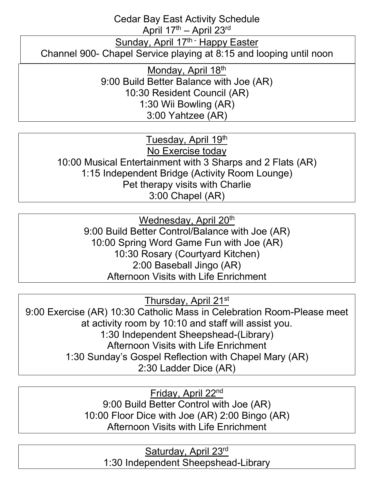Cedar Bay East Activity Schedule

April  $17<sup>th</sup>$  – April  $23<sup>rd</sup>$ 

Sunday, April 17<sup>th -</sup> Happy Easter

Channel 900- Chapel Service playing at 8:15 and looping until noon

Monday, April 18<sup>th</sup> 9:00 Build Better Balance with Joe (AR) 10:30 Resident Council (AR) 1:30 Wii Bowling (AR) 3:00 Yahtzee (AR)

Tuesday, April 19th No Exercise today 10:00 Musical Entertainment with 3 Sharps and 2 Flats (AR) 1:15 Independent Bridge (Activity Room Lounge) Pet therapy visits with Charlie 3:00 Chapel (AR)

Wednesday, April 20<sup>th</sup> 9:00 Build Better Control/Balance with Joe (AR) 10:00 Spring Word Game Fun with Joe (AR) 10:30 Rosary (Courtyard Kitchen) 2:00 Baseball Jingo (AR) Afternoon Visits with Life Enrichment

Thursday, April 21st

9:00 Exercise (AR) 10:30 Catholic Mass in Celebration Room-Please meet at activity room by 10:10 and staff will assist you. 1:30 Independent Sheepshead-(Library) Afternoon Visits with Life Enrichment 1:30 Sunday's Gospel Reflection with Chapel Mary (AR) 2:30 Ladder Dice (AR)

> Friday, April 22nd 9:00 Build Better Control with Joe (AR) 10:00 Floor Dice with Joe (AR) 2:00 Bingo (AR) Afternoon Visits with Life Enrichment

> > Saturday, April 23rd 1:30 Independent Sheepshead-Library